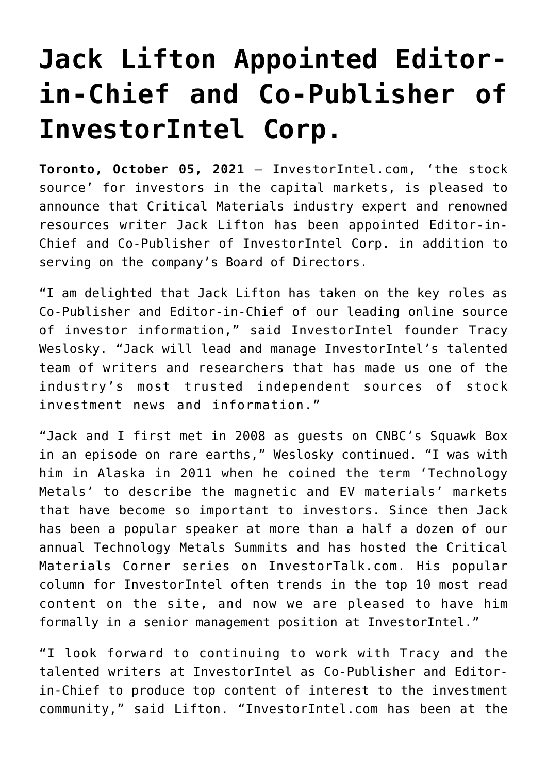## **[Jack Lifton Appointed Editor](https://investorintel.com/market-analysis/market-analysis-intel/jack-lifton-appointed-editor-in-chief-and-co-publisher-of-investorintel-corp/)[in-Chief and Co-Publisher of](https://investorintel.com/market-analysis/market-analysis-intel/jack-lifton-appointed-editor-in-chief-and-co-publisher-of-investorintel-corp/) [InvestorIntel Corp.](https://investorintel.com/market-analysis/market-analysis-intel/jack-lifton-appointed-editor-in-chief-and-co-publisher-of-investorintel-corp/)**

**Toronto, October 05, 2021** — InvestorIntel.com, 'the stock source' for investors in the capital markets, is pleased to announce that Critical Materials industry expert and renowned resources writer Jack Lifton has been appointed Editor-in-Chief and Co-Publisher of InvestorIntel Corp. in addition to serving on the company's Board of Directors.

"I am delighted that Jack Lifton has taken on the key roles as Co-Publisher and Editor-in-Chief of our leading online source of investor information," said InvestorIntel founder Tracy Weslosky. "Jack will lead and manage InvestorIntel's talented team of writers and researchers that has made us one of the industry's most trusted independent sources of stock investment news and information."

"Jack and I first met in 2008 as guests on CNBC's Squawk Box in an episode on rare earths," Weslosky continued. "I was with him in Alaska in 2011 when he coined the term 'Technology Metals' to describe the magnetic and EV materials' markets that have become so important to investors. Since then Jack has been a popular speaker at more than a half a dozen of our annual Technology Metals Summits and has hosted the Critical Materials Corner series on InvestorTalk.com. His popular column for InvestorIntel often trends in the top 10 most read content on the site, and now we are pleased to have him formally in a senior management position at InvestorIntel."

"I look forward to continuing to work with Tracy and the talented writers at InvestorIntel as Co-Publisher and Editorin-Chief to produce top content of interest to the investment community," said Lifton. "InvestorIntel.com has been at the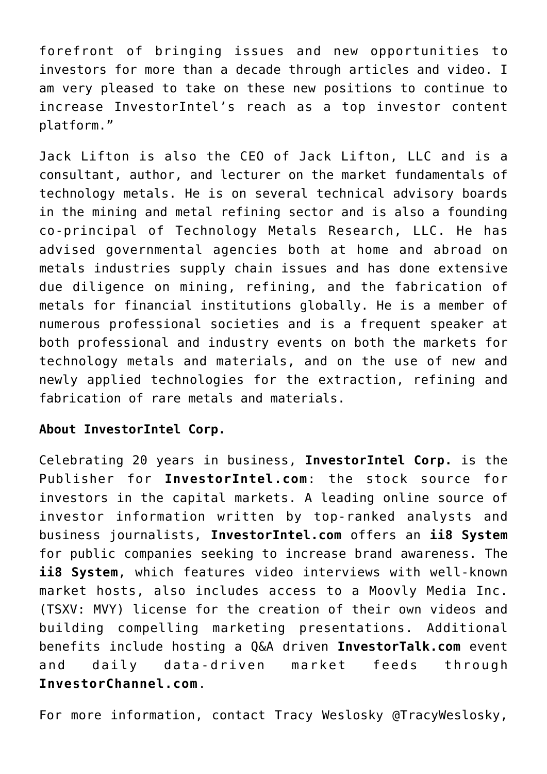forefront of bringing issues and new opportunities to investors for more than a decade through articles and video. I am very pleased to take on these new positions to continue to increase InvestorIntel's reach as a top investor content platform."

Jack Lifton is also the CEO of Jack Lifton, LLC and is a consultant, author, and lecturer on the market fundamentals of technology metals. He is on several technical advisory boards in the mining and metal refining sector and is also a founding co-principal of Technology Metals Research, LLC. He has advised governmental agencies both at home and abroad on metals industries supply chain issues and has done extensive due diligence on mining, refining, and the fabrication of metals for financial institutions globally. He is a member of numerous professional societies and is a frequent speaker at both professional and industry events on both the markets for technology metals and materials, and on the use of new and newly applied technologies for the extraction, refining and fabrication of rare metals and materials.

## **About InvestorIntel Corp.**

Celebrating 20 years in business, **InvestorIntel Corp.** is the Publisher for **InvestorIntel.com**: the stock source for investors in the capital markets. A leading online source of investor information written by top-ranked analysts and business journalists, **InvestorIntel.com** offers an **ii8 System** for public companies seeking to increase brand awareness. The **ii8 System**, which features video interviews with well-known market hosts, also includes access to a Moovly Media Inc. (TSXV: MVY) license for the creation of their own videos and building compelling marketing presentations. Additional benefits include hosting a Q&A driven **InvestorTalk.com** event and daily data-driven market feeds through **InvestorChannel.com**.

For more information, contact Tracy Weslosky @TracyWeslosky,